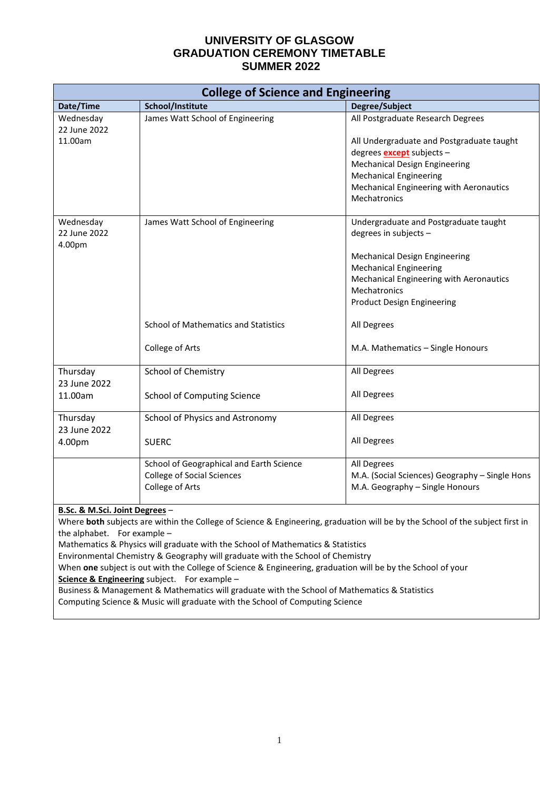| All Postgraduate Research Degrees                                                                                                                            |  |  |  |
|--------------------------------------------------------------------------------------------------------------------------------------------------------------|--|--|--|
| All Undergraduate and Postgraduate taught                                                                                                                    |  |  |  |
| degrees <b>except</b> subjects -<br><b>Mechanical Design Engineering</b>                                                                                     |  |  |  |
| <b>Mechanical Engineering</b>                                                                                                                                |  |  |  |
| Mechanical Engineering with Aeronautics                                                                                                                      |  |  |  |
|                                                                                                                                                              |  |  |  |
| Undergraduate and Postgraduate taught<br>degrees in subjects -                                                                                               |  |  |  |
| Mechanical Design Engineering                                                                                                                                |  |  |  |
| <b>Mechanical Engineering</b>                                                                                                                                |  |  |  |
| Mechanical Engineering with Aeronautics                                                                                                                      |  |  |  |
|                                                                                                                                                              |  |  |  |
| <b>Product Design Engineering</b>                                                                                                                            |  |  |  |
|                                                                                                                                                              |  |  |  |
| M.A. Mathematics - Single Honours                                                                                                                            |  |  |  |
|                                                                                                                                                              |  |  |  |
|                                                                                                                                                              |  |  |  |
|                                                                                                                                                              |  |  |  |
|                                                                                                                                                              |  |  |  |
|                                                                                                                                                              |  |  |  |
| M.A. (Social Sciences) Geography - Single Hons                                                                                                               |  |  |  |
| M.A. Geography - Single Honours                                                                                                                              |  |  |  |
| B.Sc. & M.Sci. Joint Degrees -                                                                                                                               |  |  |  |
| Where both subjects are within the College of Science & Engineering, graduation will be by the School of the subject first in<br>the alphabet. For example - |  |  |  |
|                                                                                                                                                              |  |  |  |
|                                                                                                                                                              |  |  |  |

Environmental Chemistry & Geography will graduate with the School of Chemistry

When **one** subject is out with the College of Science & Engineering, graduation will be by the School of your **Science & Engineering** subject. For example –

Business & Management & Mathematics will graduate with the School of Mathematics & Statistics

Computing Science & Music will graduate with the School of Computing Science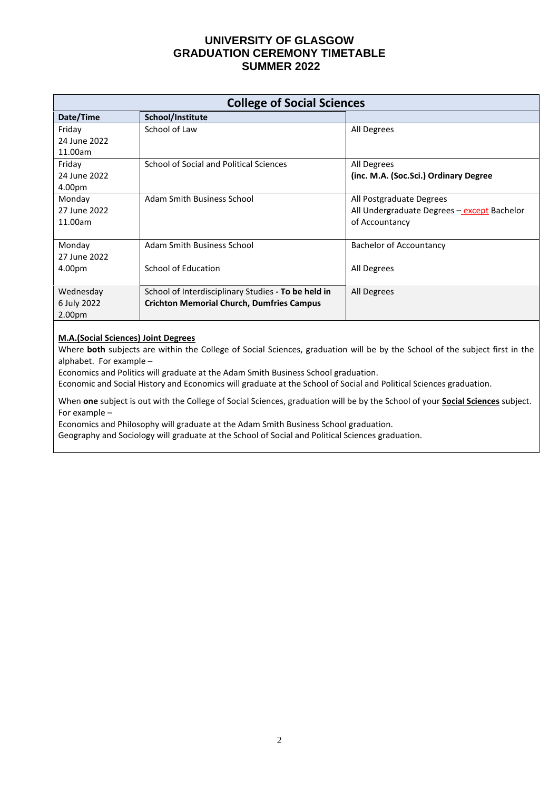| <b>College of Social Sciences</b> |                                                     |                                             |  |  |
|-----------------------------------|-----------------------------------------------------|---------------------------------------------|--|--|
| Date/Time                         | School/Institute                                    |                                             |  |  |
| Friday                            | School of Law                                       | All Degrees                                 |  |  |
| 24 June 2022                      |                                                     |                                             |  |  |
| 11.00am                           |                                                     |                                             |  |  |
| Friday                            | School of Social and Political Sciences             | All Degrees                                 |  |  |
| 24 June 2022                      |                                                     | (inc. M.A. (Soc.Sci.) Ordinary Degree       |  |  |
| 4.00pm                            |                                                     |                                             |  |  |
| Monday                            | Adam Smith Business School                          | All Postgraduate Degrees                    |  |  |
| 27 June 2022                      |                                                     | All Undergraduate Degrees - except Bachelor |  |  |
| 11.00am                           |                                                     | of Accountancy                              |  |  |
|                                   |                                                     |                                             |  |  |
| Monday                            | Adam Smith Business School                          | <b>Bachelor of Accountancy</b>              |  |  |
| 27 June 2022                      |                                                     |                                             |  |  |
| 4.00pm                            | School of Education                                 | All Degrees                                 |  |  |
|                                   |                                                     |                                             |  |  |
| Wednesday                         | School of Interdisciplinary Studies - To be held in | All Degrees                                 |  |  |
| 6 July 2022                       | <b>Crichton Memorial Church, Dumfries Campus</b>    |                                             |  |  |
| 2.00 <sub>pm</sub>                |                                                     |                                             |  |  |

#### **M.A.(Social Sciences) Joint Degrees**

Where **both** subjects are within the College of Social Sciences, graduation will be by the School of the subject first in the alphabet. For example –

Economics and Politics will graduate at the Adam Smith Business School graduation.

Economic and Social History and Economics will graduate at the School of Social and Political Sciences graduation.

When **one** subject is out with the College of Social Sciences, graduation will be by the School of your **Social Sciences** subject. For example –

Economics and Philosophy will graduate at the Adam Smith Business School graduation.

Geography and Sociology will graduate at the School of Social and Political Sciences graduation.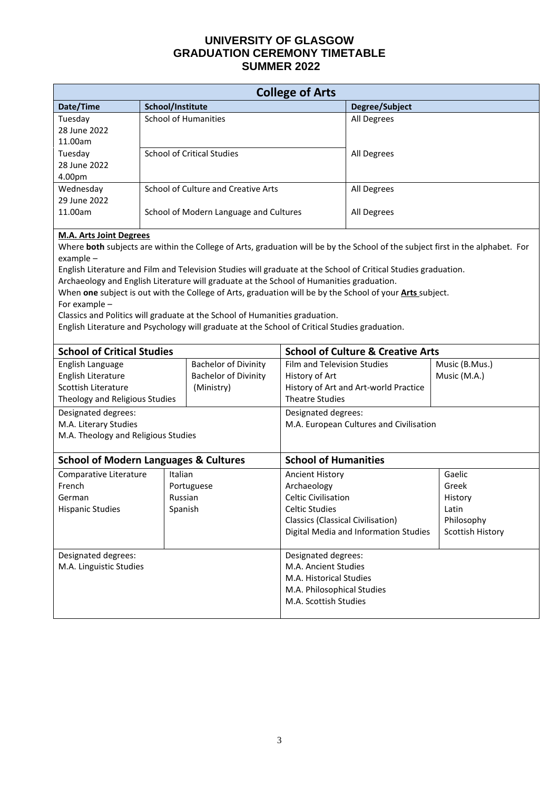| <b>College of Arts</b>                                                                                                                                                                                                                                                                                                                                                                                                                                                                                                                                                                                                                                                                                                                                                                       |                                     |                                                                                                                               |                                                                                                                            |                                       |                                                                       |
|----------------------------------------------------------------------------------------------------------------------------------------------------------------------------------------------------------------------------------------------------------------------------------------------------------------------------------------------------------------------------------------------------------------------------------------------------------------------------------------------------------------------------------------------------------------------------------------------------------------------------------------------------------------------------------------------------------------------------------------------------------------------------------------------|-------------------------------------|-------------------------------------------------------------------------------------------------------------------------------|----------------------------------------------------------------------------------------------------------------------------|---------------------------------------|-----------------------------------------------------------------------|
| Date/Time                                                                                                                                                                                                                                                                                                                                                                                                                                                                                                                                                                                                                                                                                                                                                                                    | School/Institute                    |                                                                                                                               |                                                                                                                            | Degree/Subject                        |                                                                       |
| Tuesday<br>28 June 2022<br>11.00am                                                                                                                                                                                                                                                                                                                                                                                                                                                                                                                                                                                                                                                                                                                                                           | <b>School of Humanities</b>         |                                                                                                                               |                                                                                                                            | All Degrees                           |                                                                       |
| Tuesday<br>28 June 2022<br>4.00pm                                                                                                                                                                                                                                                                                                                                                                                                                                                                                                                                                                                                                                                                                                                                                            | <b>School of Critical Studies</b>   |                                                                                                                               | All Degrees                                                                                                                |                                       |                                                                       |
| Wednesday<br>29 June 2022                                                                                                                                                                                                                                                                                                                                                                                                                                                                                                                                                                                                                                                                                                                                                                    | School of Culture and Creative Arts |                                                                                                                               | All Degrees                                                                                                                |                                       |                                                                       |
| 11.00am                                                                                                                                                                                                                                                                                                                                                                                                                                                                                                                                                                                                                                                                                                                                                                                      |                                     | School of Modern Language and Cultures                                                                                        |                                                                                                                            | All Degrees                           |                                                                       |
| <b>M.A. Arts Joint Degrees</b><br>Where both subjects are within the College of Arts, graduation will be by the School of the subject first in the alphabet. For<br>example-<br>English Literature and Film and Television Studies will graduate at the School of Critical Studies graduation.<br>Archaeology and English Literature will graduate at the School of Humanities graduation.<br>When one subject is out with the College of Arts, graduation will be by the School of your Arts subject.<br>For example -<br>Classics and Politics will graduate at the School of Humanities graduation.<br>English Literature and Psychology will graduate at the School of Critical Studies graduation.<br><b>School of Critical Studies</b><br><b>School of Culture &amp; Creative Arts</b> |                                     |                                                                                                                               |                                                                                                                            |                                       |                                                                       |
| English Language                                                                                                                                                                                                                                                                                                                                                                                                                                                                                                                                                                                                                                                                                                                                                                             |                                     | <b>Bachelor of Divinity</b>                                                                                                   | Film and Television Studies                                                                                                |                                       | Music (B.Mus.)                                                        |
| English Literature<br>Scottish Literature<br>Theology and Religious Studies                                                                                                                                                                                                                                                                                                                                                                                                                                                                                                                                                                                                                                                                                                                  |                                     | <b>Bachelor of Divinity</b><br>(Ministry)                                                                                     | History of Art<br><b>Theatre Studies</b>                                                                                   | History of Art and Art-world Practice | Music (M.A.)                                                          |
| Designated degrees:<br>M.A. Literary Studies<br>M.A. Theology and Religious Studies                                                                                                                                                                                                                                                                                                                                                                                                                                                                                                                                                                                                                                                                                                          |                                     | Designated degrees:                                                                                                           | M.A. European Cultures and Civilisation                                                                                    |                                       |                                                                       |
| <b>School of Modern Languages &amp; Cultures</b>                                                                                                                                                                                                                                                                                                                                                                                                                                                                                                                                                                                                                                                                                                                                             |                                     |                                                                                                                               | <b>School of Humanities</b>                                                                                                |                                       |                                                                       |
| Comparative Literature<br>French<br>German<br><b>Hispanic Studies</b>                                                                                                                                                                                                                                                                                                                                                                                                                                                                                                                                                                                                                                                                                                                        | Italian<br>Russian<br>Spanish       | Portuguese                                                                                                                    | Ancient History<br>Archaeology<br>Celtic Civilisation<br><b>Celtic Studies</b><br><b>Classics (Classical Civilisation)</b> | Digital Media and Information Studies | Gaelic<br>Greek<br>History<br>Latin<br>Philosophy<br>Scottish History |
| Designated degrees:<br>M.A. Linguistic Studies                                                                                                                                                                                                                                                                                                                                                                                                                                                                                                                                                                                                                                                                                                                                               |                                     | Designated degrees:<br>M.A. Ancient Studies<br>M.A. Historical Studies<br>M.A. Philosophical Studies<br>M.A. Scottish Studies |                                                                                                                            |                                       |                                                                       |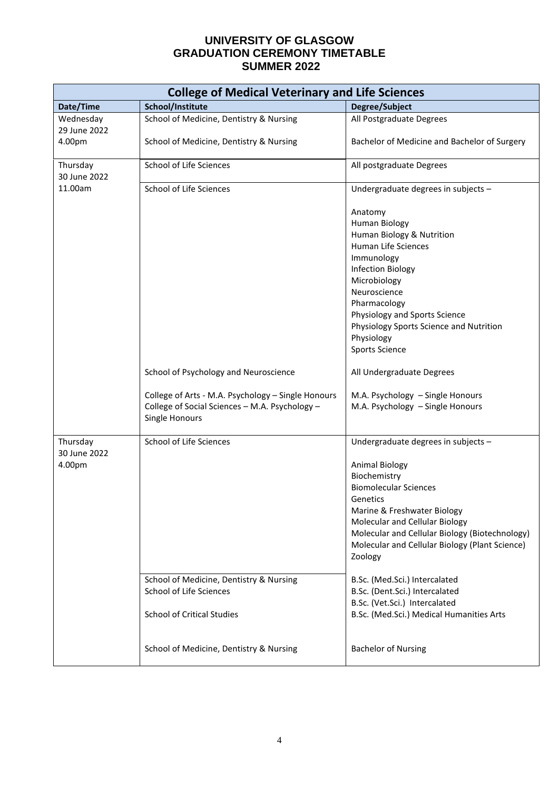| <b>College of Medical Veterinary and Life Sciences</b> |                                                                                                                        |                                                                                                                                                                                                                                                                                           |  |  |
|--------------------------------------------------------|------------------------------------------------------------------------------------------------------------------------|-------------------------------------------------------------------------------------------------------------------------------------------------------------------------------------------------------------------------------------------------------------------------------------------|--|--|
| Date/Time                                              | School/Institute                                                                                                       | Degree/Subject                                                                                                                                                                                                                                                                            |  |  |
| Wednesday<br>29 June 2022                              | School of Medicine, Dentistry & Nursing                                                                                | All Postgraduate Degrees                                                                                                                                                                                                                                                                  |  |  |
| 4.00pm                                                 | School of Medicine, Dentistry & Nursing                                                                                | Bachelor of Medicine and Bachelor of Surgery                                                                                                                                                                                                                                              |  |  |
| Thursday<br>30 June 2022                               | School of Life Sciences                                                                                                | All postgraduate Degrees                                                                                                                                                                                                                                                                  |  |  |
| 11.00am                                                | School of Life Sciences                                                                                                | Undergraduate degrees in subjects -                                                                                                                                                                                                                                                       |  |  |
|                                                        |                                                                                                                        | Anatomy<br><b>Human Biology</b><br>Human Biology & Nutrition<br>Human Life Sciences<br>Immunology<br>Infection Biology<br>Microbiology<br>Neuroscience<br>Pharmacology<br>Physiology and Sports Science<br>Physiology Sports Science and Nutrition<br>Physiology<br><b>Sports Science</b> |  |  |
|                                                        | School of Psychology and Neuroscience                                                                                  | All Undergraduate Degrees                                                                                                                                                                                                                                                                 |  |  |
|                                                        | College of Arts - M.A. Psychology - Single Honours<br>College of Social Sciences - M.A. Psychology -<br>Single Honours | M.A. Psychology - Single Honours<br>M.A. Psychology - Single Honours                                                                                                                                                                                                                      |  |  |
| Thursday                                               | School of Life Sciences                                                                                                | Undergraduate degrees in subjects -                                                                                                                                                                                                                                                       |  |  |
| 30 June 2022<br>4.00pm                                 |                                                                                                                        | Animal Biology<br>Biochemistry<br><b>Biomolecular Sciences</b><br>Genetics<br>Marine & Freshwater Biology<br>Molecular and Cellular Biology<br>Molecular and Cellular Biology (Biotechnology)<br>Molecular and Cellular Biology (Plant Science)<br>Zoology                                |  |  |
|                                                        | School of Medicine, Dentistry & Nursing<br>School of Life Sciences<br><b>School of Critical Studies</b>                | B.Sc. (Med.Sci.) Intercalated<br>B.Sc. (Dent.Sci.) Intercalated<br>B.Sc. (Vet.Sci.) Intercalated<br>B.Sc. (Med.Sci.) Medical Humanities Arts                                                                                                                                              |  |  |
|                                                        | School of Medicine, Dentistry & Nursing                                                                                | <b>Bachelor of Nursing</b>                                                                                                                                                                                                                                                                |  |  |